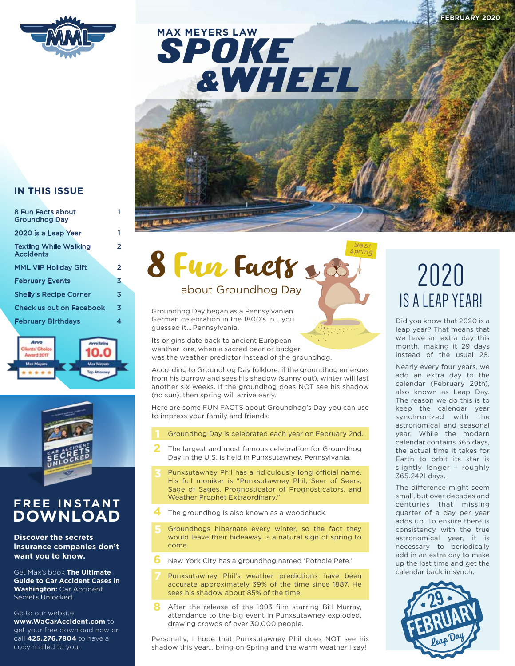

### SPOKE &WHEEL **MAX MEYERS LAW**



#### **IN THIS ISSUE**

| 8 Fun Facts about<br><b>Groundhog Dav</b>        |   |
|--------------------------------------------------|---|
| 2020 is a Leap Year                              |   |
| <b>Texting While Walking</b><br><b>Accidents</b> | 2 |
| <b>MML VIP Holidav Gift</b>                      | 2 |
| <b>February Events</b>                           | 3 |
| <b>Shelly's Recipe Corner</b>                    | 3 |
| <b>Check us out on Facebook</b>                  | 3 |
| <b>February Birthdays</b>                        | 4 |





#### **FREE INSTANT DOWNLOAD**

**Discover the secrets insurance companies don't want you to know.** 

Get Max's book **The Ultimate Guide to Car Accident Cases in Washington:** Car Accident Secrets Unlocked.

#### Go to our website

**www.WaCarAccident.com** to get your free download now or call **425.276.7804** to have a copy mailed to you.

# 8 Fun Facts

Groundhog Day began as a Pennsylvanian German celebration in the 1800's in… you guessed it… Pennsylvania.

Its origins date back to ancient European weather lore, when a sacred bear or badger was the weather predictor instead of the groundhog.

According to Groundhog Day folklore, if the groundhog emerges from his burrow and sees his shadow (sunny out), winter will last another six weeks. If the groundhog does NOT see his shadow (no sun), then spring will arrive early.

Here are some FUN FACTS about Groundhog's Day you can use to impress your family and friends:

- Groundhog Day is celebrated each year on February 2nd.
- **2** The largest and most famous celebration for Groundhog Day in the U.S. is held in Punxsutawney, Pennsylvania.
- Punxsutawney Phil has a ridiculously long official name. His full moniker is "Punxsutawney Phil, Seer of Seers, Sage of Sages, Prognosticator of Prognosticators, and Weather Prophet Extraordinary."
- **4** The groundhog is also known as a woodchuck.
- Groundhogs hibernate every winter, so the fact they would leave their hideaway is a natural sign of spring to come.
- **6** New York City has a groundhog named 'Pothole Pete.'
- Punxsutawney Phil's weather predictions have been accurate approximately 39% of the time since 1887. He sees his shadow about 85% of the time.
- **8** After the release of the 1993 film starring Bill Murray, attendance to the big event in Punxsutawney exploded, drawing crowds of over 30,000 people.

Personally, I hope that Punxsutawney Phil does NOT see his shadow this year… bring on Spring and the warm weather I say!

### 2020 IS A LEAP YEAR!

Did you know that 2020 is a leap year? That means that we have an extra day this month, making it 29 days instead of the usual 28.

Nearly every four years, we add an extra day to the calendar (February 29th), also known as Leap Day. The reason we do this is to keep the calendar year synchronized with the astronomical and seasonal year. While the modern calendar contains 365 days, the actual time it takes for Earth to orbit its star is slightly longer – roughly 365.2421 days.

The difference might seem small, but over decades and centuries that missing quarter of a day per year adds up. To ensure there is consistency with the true astronomical year, it is necessary to periodically add in an extra day to make up the lost time and get the calendar back in synch.

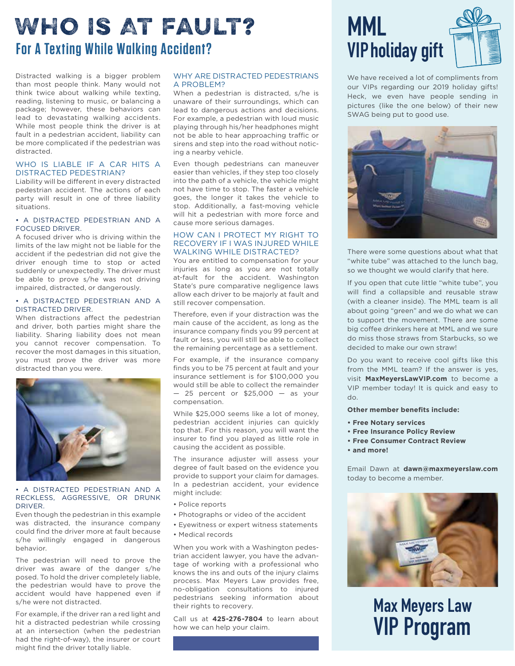### **For A Texting While Walking Accident?** Who Is At Fault?

Distracted walking is a bigger problem than most people think. Many would not think twice about walking while texting, reading, listening to music, or balancing a package; however, these behaviors can lead to devastating walking accidents. While most people think the driver is at fault in a pedestrian accident, liability can be more complicated if the pedestrian was distracted.

#### WHO IS LIABLE IF A CAR HITS A DISTRACTED PEDESTRIAN?

Liability will be different in every distracted pedestrian accident. The actions of each party will result in one of three liability situations.

#### • A DISTRACTED PEDESTRIAN AND A FOCUSED DRIVER.

A focused driver who is driving within the limits of the law might not be liable for the accident if the pedestrian did not give the driver enough time to stop or acted suddenly or unexpectedly. The driver must be able to prove s/he was not driving impaired, distracted, or dangerously.

#### • A DISTRACTED PEDESTRIAN AND A DISTRACTED DRIVER.

When distractions affect the pedestrian and driver, both parties might share the liability. Sharing liability does not mean you cannot recover compensation. To recover the most damages in this situation, you must prove the driver was more distracted than you were.



#### • A DISTRACTED PEDESTRIAN AND A RECKLESS, AGGRESSIVE, OR DRUNK DRIVER.

Even though the pedestrian in this example was distracted, the insurance company could find the driver more at fault because s/he willingly engaged in dangerous behavior.

The pedestrian will need to prove the driver was aware of the danger s/he posed. To hold the driver completely liable, the pedestrian would have to prove the accident would have happened even if s/he were not distracted.

For example, if the driver ran a red light and hit a distracted pedestrian while crossing at an intersection (when the pedestrian had the right-of-way), the insurer or court might find the driver totally liable.

#### WHY ARE DISTRACTED PEDESTRIANS A PROBLEM?

When a pedestrian is distracted, s/he is unaware of their surroundings, which can lead to dangerous actions and decisions. For example, a pedestrian with loud music playing through his/her headphones might not be able to hear approaching traffic or sirens and step into the road without noticing a nearby vehicle.

Even though pedestrians can maneuver easier than vehicles, if they step too closely into the path of a vehicle, the vehicle might not have time to stop. The faster a vehicle goes, the longer it takes the vehicle to stop. Additionally, a fast-moving vehicle will hit a pedestrian with more force and cause more serious damages.

#### HOW CAN I PROTECT MY RIGHT TO RECOVERY IF I WAS INJURED WHILE WALKING WHILE DISTRACTED?

You are entitled to compensation for your injuries as long as you are not totally at-fault for the accident. Washington State's pure comparative negligence laws allow each driver to be majorly at fault and still recover compensation.

Therefore, even if your distraction was the main cause of the accident, as long as the insurance company finds you 99 percent at fault or less, you will still be able to collect the remaining percentage as a settlement.

For example, if the insurance company finds you to be 75 percent at fault and your insurance settlement is for \$100,000 you would still be able to collect the remainder  $-25$  percent or \$25,000  $-$  as your compensation.

While \$25,000 seems like a lot of money, pedestrian accident injuries can quickly top that. For this reason, you will want the insurer to find you played as little role in causing the accident as possible.

The insurance adjuster will assess your degree of fault based on the evidence you provide to support your claim for damages. In a pedestrian accident, your evidence might include:

- Police reports
- Photographs or video of the accident
- Eyewitness or expert witness statements
- Medical records

When you work with a Washington pedestrian accident lawyer, you have the advantage of working with a professional who knows the ins and outs of the injury claims process. Max Meyers Law provides free, no-obligation consultations to injured pedestrians seeking information about their rights to recovery.

Call us at **425-276-7804** to learn about how we can help your claim.

### **MML VIPholiday gift**



We have received a lot of compliments from our VIPs regarding our 2019 holiday gifts! Heck, we even have people sending in pictures {like the one below) of their new SWAG being put to good use.



There were some questions about what that "white tube" was attached to the lunch bag, so we thought we would clarify that here.

If you open that cute little "white tube", you will find a collapsible and reusable straw (with a cleaner inside). The MML team is all about going "green" and we do what we can to support the movement. There are some big coffee drinkers here at MML and we sure do miss those straws from Starbucks, so we decided to make our own straw!

Do you want to receive cool gifts like this from the MML team? If the answer is yes, visit **MaxMeyersLawVIP.com** to become a VIP member today! It is quick and easy to do.

**Other member benefits include:**

- **Free Notary services**
- **Free Insurance Policy Review**
- **Free Consumer Contract Review**
- **and more!**

Email Dawn at **dawn@maxmeyerslaw.com**  today to become a member.



**Max Meyers Law VIP Program**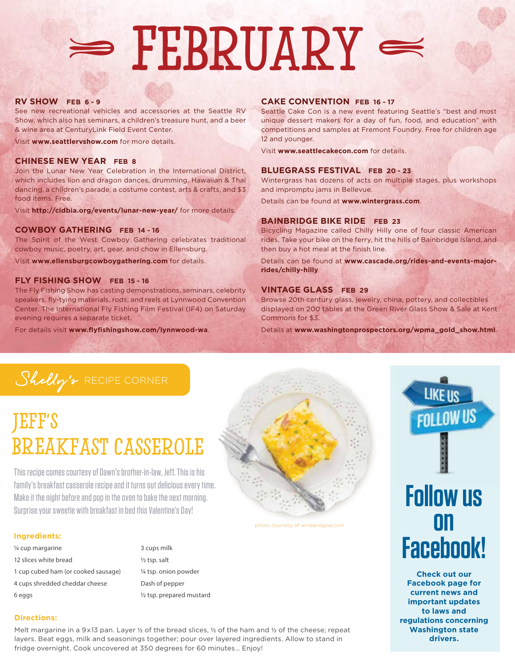## February  $\Rightarrow$  FERRILLY

#### **RV SHOW FEB 6 - 9**

See new recreational vehicles and accessories at the Seattle RV Show, which also has seminars, a children's treasure hunt, and a beer & wine area at CenturyLink Field Event Center.

Visit **www.seattlervshow.com** for more details.

#### **CHINESE NEW YEAR FEB 8**

Join the Lunar New Year Celebration in the International District, which includes lion and dragon dances, drumming, Hawaiian & Thai dancing, a children's parade, a costume contest, arts & crafts, and \$3 food items. Free.

Visit **http://cidbia.org/events/lunar-new-year/** for more details.

#### **COWBOY GATHERING FEB 14 - 16**

The Spirit of the West Cowboy Gathering celebrates traditional cowboy music, poetry, art, gear, and chow in Ellensburg.

Visit **www.ellensburgcowboygathering.com** for details.

#### **FLY FISHING SHOW FEB 15 - 16**

The Fly Fishing Show has casting demonstrations, seminars, celebrity speakers, fly-tying materials, rods, and reels at Lynnwood Convention Center. The International Fly Fishing Film Festival (IF4) on Saturday evening requires a separate ticket.

For details visit **www.flyfishingshow.com/lynnwood-wa**.

#### **CAKE CONVENTION FEB 16 - 17**

Seattle Cake Con is a new event featuring Seattle's "best and most unique dessert makers for a day of fun, food, and education" with competitions and samples at Fremont Foundry. Free for children age 12 and younger.

Visit **www.seattlecakecon.com** for details.

#### **BLUEGRASS FESTIVAL FEB 20 - 23**

Wintergrass has dozens of acts on multiple stages, plus workshops and impromptu jams in Bellevue.

Details can be found at **www.wintergrass.com**.

#### **BAINBRIDGE BIKE RIDE FEB 23**

Bicycling Magazine called Chilly Hilly one of four classic American rides. Take your bike on the ferry, hit the hills of Bainbridge Island, and then buy a hot meal at the finish line.

Details can be found at **www.cascade.org/rides-and-events-majorrides/chilly-hilly**.

#### **VINTAGE GLASS FEB 29**

Browse 20th century glass, jewelry, china, pottery, and collectibles displayed on 200 tables at the Green River Glass Show & Sale at Kent Commons for \$3.

Details at **www.washingtonprospectors.org/wpma\_gold\_show.html**.

### Shelly's RECIPE CORNER

### Jeff's Breakfast Casserole

This recipe comes courtesy of Dawn's brother-in-law, Jeff. This is his family's breakfast casserole recipe and it turns out delicious every time. Make it the night before and pop in the oven to bake the next morning. Surprise your sweetie with breakfast in bed this Valentine's Day!

#### **Ingredients:**

- ¼ cup margarine 12 slices white bread 1 cup cubed ham (or cooked sausage) 4 cups shredded cheddar cheese 6 eggs
- 3 cups milk ½ tsp. salt ¼ tsp. onion powder Dash of pepper ½ tsp. prepared mustard



.

#### photo courtesy of wineandglue.com



**LIKE US** 

**Check out our Facebook page for current news and important updates to laws and regulations concerning Washington state drivers.**

#### **Directions:**

Melt margarine in a 9x13 pan. Layer 1/2 of the bread slices, 1/2 of the ham and 1/2 of the cheese; repeat layers. Beat eggs, milk and seasonings together; pour over layered ingredients. Allow to stand in fridge overnight. Cook uncovered at 350 degrees for 60 minutes… Enjoy!